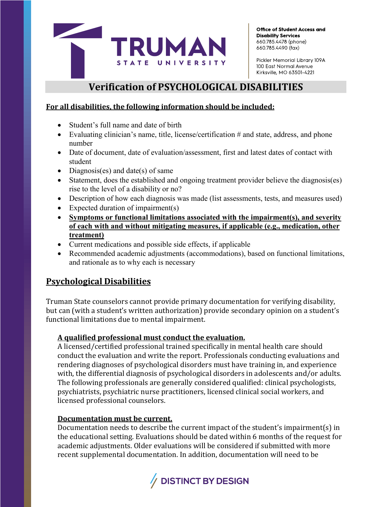

Office of Student Access and **Disability Services** 660.785.4478 (phone) 660.785.4490 (fax)

Pickler Memorial Library 109A 100 East Normal Avenue Kirksville, MO 63501-4221

# **Verification of PSYCHOLOGICAL DISABILITIES**

## **For all disabilities, the following information should be included:**

- Student's full name and date of birth
- Evaluating clinician's name, title, license/certification # and state, address, and phone number
- Date of document, date of evaluation/assessment, first and latest dates of contact with student
- Diagnosis(es) and date(s) of same
- Statement, does the established and ongoing treatment provider believe the diagnosis(es) rise to the level of a disability or no?
- Description of how each diagnosis was made (list assessments, tests, and measures used)
- Expected duration of impairment(s)
- **Symptoms or functional limitations associated with the impairment(s), and severity of each with and without mitigating measures, if applicable (e.g., medication, other treatment)**
- Current medications and possible side effects, if applicable
- Recommended academic adjustments (accommodations), based on functional limitations, and rationale as to why each is necessary

# **Psychological Disabilities**

Truman State counselors cannot provide primary documentation for verifying disability, but can (with a student's written authorization) provide secondary opinion on a student's functional limitations due to mental impairment.

## **A qualified professional must conduct the evaluation.**

A licensed/certified professional trained specifically in mental health care should conduct the evaluation and write the report. Professionals conducting evaluations and rendering diagnoses of psychological disorders must have training in, and experience with, the differential diagnosis of psychological disorders in adolescents and/or adults. The following professionals are generally considered qualified: clinical psychologists, psychiatrists, psychiatric nurse practitioners, licensed clinical social workers, and licensed professional counselors.

#### **Documentation must be current.**

Documentation needs to describe the current impact of the student's impairment(s) in the educational setting. Evaluations should be dated within 6 months of the request for academic adjustments. Older evaluations will be considered if submitted with more recent supplemental documentation. In addition, documentation will need to be